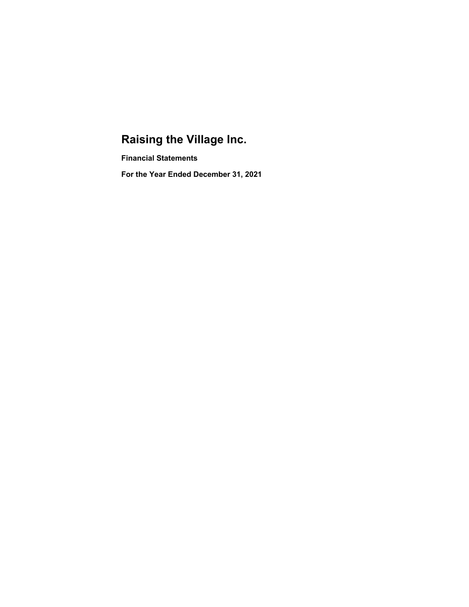# **Raising the Village Inc.**

**Financial Statements For the Year Ended December 31, 2021**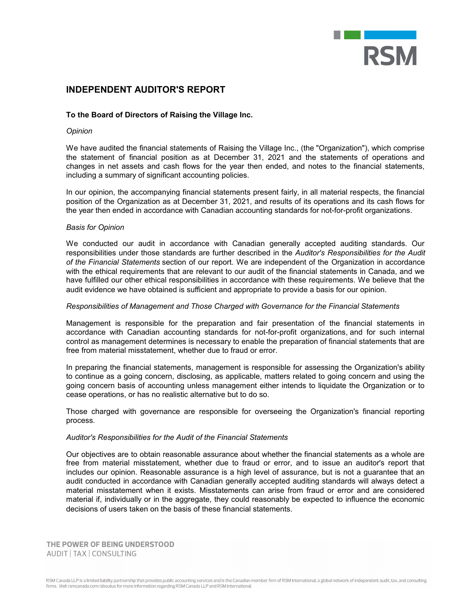

# **INDEPENDENT AUDITOR'S REPORT**

## **To the Board of Directors of Raising the Village Inc.**

#### *Opinion*

We have audited the financial statements of Raising the Village Inc., (the "Organization"), which comprise the statement of financial position as at December 31, 2021 and the statements of operations and changes in net assets and cash flows for the year then ended, and notes to the financial statements, including a summary of significant accounting policies.

In our opinion, the accompanying financial statements present fairly, in all material respects, the financial position of the Organization as at December 31, 2021, and results of its operations and its cash flows for the year then ended in accordance with Canadian accounting standards for not-for-profit organizations.

#### *Basis for Opinion*

We conducted our audit in accordance with Canadian generally accepted auditing standards. Our responsibilities under those standards are further described in the *Auditor's Responsibilities for the Audit of the Financial Statements* section of our report. We are independent of the Organization in accordance with the ethical requirements that are relevant to our audit of the financial statements in Canada, and we have fulfilled our other ethical responsibilities in accordance with these requirements. We believe that the audit evidence we have obtained is sufficient and appropriate to provide a basis for our opinion.

#### *Responsibilities of Management and Those Charged with Governance for the Financial Statements*

Management is responsible for the preparation and fair presentation of the financial statements in accordance with Canadian accounting standards for not-for-profit organizations, and for such internal control as management determines is necessary to enable the preparation of financial statements that are free from material misstatement, whether due to fraud or error.

In preparing the financial statements, management is responsible for assessing the Organization's ability to continue as a going concern, disclosing, as applicable, matters related to going concern and using the going concern basis of accounting unless management either intends to liquidate the Organization or to cease operations, or has no realistic alternative but to do so.

Those charged with governance are responsible for overseeing the Organization's financial reporting process.

#### *Auditor's Responsibilities for the Audit of the Financial Statements*

Our objectives are to obtain reasonable assurance about whether the financial statements as a whole are free from material misstatement, whether due to fraud or error, and to issue an auditor's report that includes our opinion. Reasonable assurance is a high level of assurance, but is not a guarantee that an audit conducted in accordance with Canadian generally accepted auditing standards will always detect a material misstatement when it exists. Misstatements can arise from fraud or error and are considered material if, individually or in the aggregate, they could reasonably be expected to influence the economic decisions of users taken on the basis of these financial statements.

THE POWER OF BEING UNDERSTOOD AUDIT | TAX | CONSULTING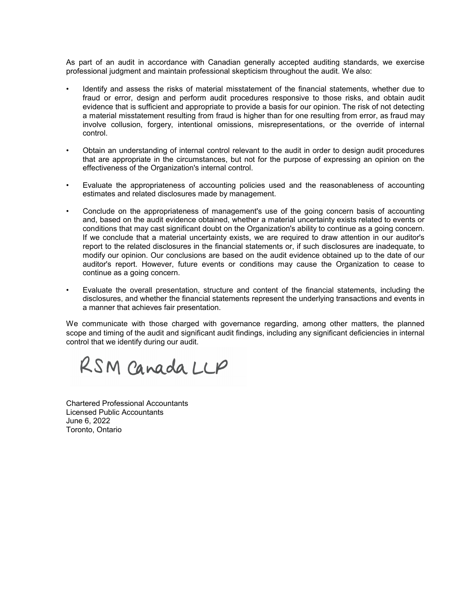As part of an audit in accordance with Canadian generally accepted auditing standards, we exercise professional judgment and maintain professional skepticism throughout the audit. We also:

- Identify and assess the risks of material misstatement of the financial statements, whether due to fraud or error, design and perform audit procedures responsive to those risks, and obtain audit evidence that is sufficient and appropriate to provide a basis for our opinion. The risk of not detecting a material misstatement resulting from fraud is higher than for one resulting from error, as fraud may involve collusion, forgery, intentional omissions, misrepresentations, or the override of internal control.
- Obtain an understanding of internal control relevant to the audit in order to design audit procedures that are appropriate in the circumstances, but not for the purpose of expressing an opinion on the effectiveness of the Organization's internal control.
- Evaluate the appropriateness of accounting policies used and the reasonableness of accounting estimates and related disclosures made by management.
- Conclude on the appropriateness of management's use of the going concern basis of accounting and, based on the audit evidence obtained, whether a material uncertainty exists related to events or conditions that may cast significant doubt on the Organization's ability to continue as a going concern. If we conclude that a material uncertainty exists, we are required to draw attention in our auditor's report to the related disclosures in the financial statements or, if such disclosures are inadequate, to modify our opinion. Our conclusions are based on the audit evidence obtained up to the date of our auditor's report. However, future events or conditions may cause the Organization to cease to continue as a going concern.
- Evaluate the overall presentation, structure and content of the financial statements, including the disclosures, and whether the financial statements represent the underlying transactions and events in a manner that achieves fair presentation.

We communicate with those charged with governance regarding, among other matters, the planned scope and timing of the audit and significant audit findings, including any significant deficiencies in internal control that we identify during our audit.

RSM Canada LLP

Chartered Professional Accountants Licensed Public Accountants June 6, 2022 Toronto, Ontario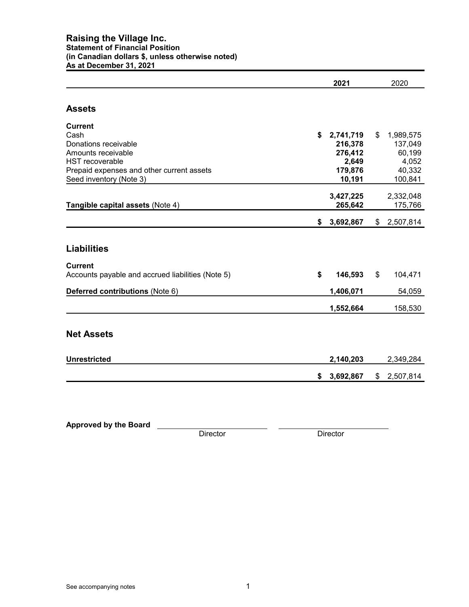# **Raising the Village Inc. Statement of Financial Position (in Canadian dollars \$, unless otherwise noted) As at December 31, 2021**

|                                                                                                                                                                        |    | 2021                                                          | 2020                                                               |
|------------------------------------------------------------------------------------------------------------------------------------------------------------------------|----|---------------------------------------------------------------|--------------------------------------------------------------------|
| <b>Assets</b>                                                                                                                                                          |    |                                                               |                                                                    |
| <b>Current</b><br>Cash<br>Donations receivable<br>Amounts receivable<br><b>HST</b> recoverable<br>Prepaid expenses and other current assets<br>Seed inventory (Note 3) | \$ | 2,741,719<br>216,378<br>276,412<br>2,649<br>179,876<br>10,191 | \$<br>1,989,575<br>137,049<br>60,199<br>4,052<br>40,332<br>100,841 |
| Tangible capital assets (Note 4)                                                                                                                                       |    | 3,427,225<br>265,642                                          | 2,332,048<br>175,766                                               |
|                                                                                                                                                                        | \$ | 3,692,867                                                     | \$<br>2,507,814                                                    |
| <b>Liabilities</b><br><b>Current</b>                                                                                                                                   |    |                                                               |                                                                    |
| Accounts payable and accrued liabilities (Note 5)                                                                                                                      | \$ | 146,593                                                       | \$<br>104,471                                                      |
| Deferred contributions (Note 6)                                                                                                                                        |    | 1,406,071                                                     | 54,059                                                             |
|                                                                                                                                                                        |    | 1,552,664                                                     | 158,530                                                            |
| <b>Net Assets</b>                                                                                                                                                      |    |                                                               |                                                                    |
| <b>Unrestricted</b>                                                                                                                                                    |    | 2,140,203                                                     | 2,349,284                                                          |
|                                                                                                                                                                        | S. | 3,692,867                                                     | \$<br>2,507,814                                                    |
|                                                                                                                                                                        |    |                                                               |                                                                    |

**Approved by the Board**  Director Director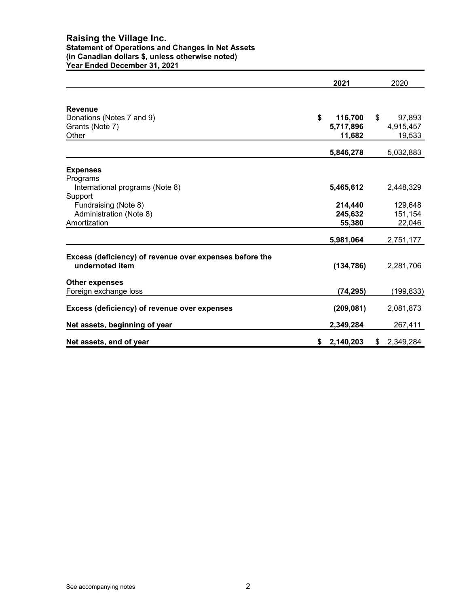# **Raising the Village Inc.**

## **Statement of Operations and Changes in Net Assets (in Canadian dollars \$, unless otherwise noted) Year Ended December 31, 2021**

|                                                         | 2021          | 2020         |
|---------------------------------------------------------|---------------|--------------|
|                                                         |               |              |
| <b>Revenue</b>                                          |               |              |
| Donations (Notes 7 and 9)                               | \$<br>116,700 | \$<br>97,893 |
| Grants (Note 7)                                         | 5,717,896     | 4,915,457    |
| Other                                                   | 11,682        | 19,533       |
|                                                         | 5,846,278     | 5,032,883    |
|                                                         |               |              |
| <b>Expenses</b>                                         |               |              |
| Programs<br>International programs (Note 8)             | 5,465,612     | 2,448,329    |
| Support                                                 |               |              |
| Fundraising (Note 8)                                    | 214,440       | 129,648      |
| Administration (Note 8)                                 | 245,632       | 151,154      |
| Amortization                                            | 55,380        | 22,046       |
|                                                         | 5,981,064     | 2,751,177    |
|                                                         |               |              |
| Excess (deficiency) of revenue over expenses before the |               |              |
| undernoted item                                         | (134, 786)    | 2,281,706    |
|                                                         |               |              |
| <b>Other expenses</b>                                   |               |              |
| Foreign exchange loss                                   | (74, 295)     | (199,833)    |
| Excess (deficiency) of revenue over expenses            | (209, 081)    | 2,081,873    |
|                                                         |               |              |
| Net assets, beginning of year                           | 2,349,284     | 267,411      |
| Net assets, end of year                                 | \$2,140,203   | \$2,349,284  |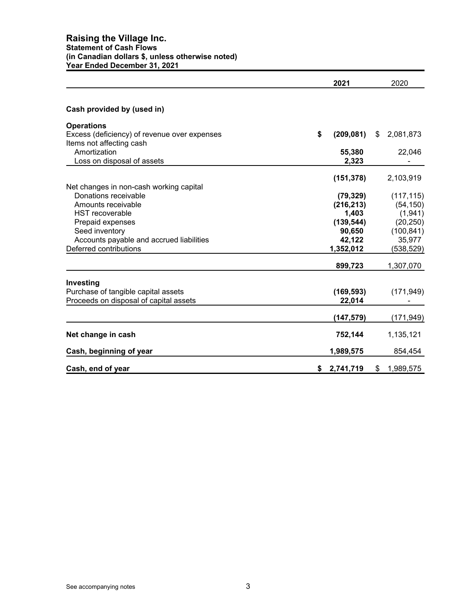|                                                                          | 2021             | 2020            |
|--------------------------------------------------------------------------|------------------|-----------------|
| Cash provided by (used in)                                               |                  |                 |
| <b>Operations</b>                                                        |                  |                 |
| Excess (deficiency) of revenue over expenses<br>Items not affecting cash | \$<br>(209, 081) | \$<br>2,081,873 |
| Amortization                                                             | 55,380           | 22,046          |
| Loss on disposal of assets                                               | 2,323            |                 |
|                                                                          | (151, 378)       | 2,103,919       |
| Net changes in non-cash working capital                                  |                  |                 |
| Donations receivable                                                     | (79, 329)        | (117, 115)      |
| Amounts receivable                                                       | (216, 213)       | (54, 150)       |
| <b>HST</b> recoverable                                                   | 1,403            | (1,941)         |
| Prepaid expenses                                                         | (139, 544)       | (20, 250)       |
| Seed inventory                                                           | 90,650           | (100, 841)      |
| Accounts payable and accrued liabilities                                 | 42,122           | 35,977          |
| Deferred contributions                                                   | 1,352,012        | (538, 529)      |
|                                                                          | 899,723          | 1,307,070       |
| Investing                                                                |                  |                 |
| Purchase of tangible capital assets                                      | (169, 593)       | (171, 949)      |
| Proceeds on disposal of capital assets                                   | 22,014           |                 |
|                                                                          | (147,579)        | (171, 949)      |
| Net change in cash                                                       | 752,144          | 1,135,121       |
| Cash, beginning of year                                                  | 1,989,575        | 854,454         |
| Cash, end of year                                                        | \$<br>2,741,719  | \$<br>1,989,575 |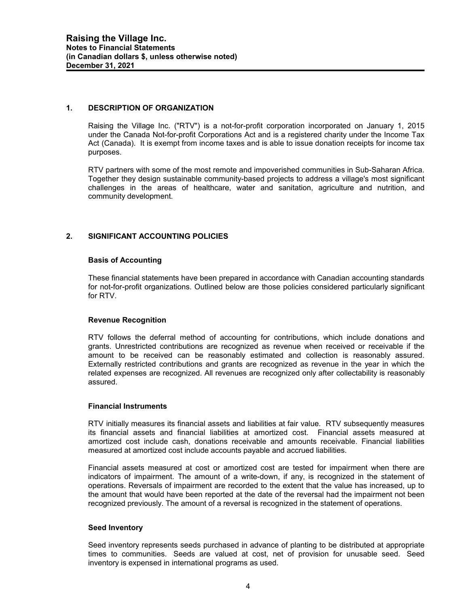## **1. DESCRIPTION OF ORGANIZATION**

Raising the Village Inc. ("RTV") is a not-for-profit corporation incorporated on January 1, 2015 under the Canada Not-for-profit Corporations Act and is a registered charity under the Income Tax Act (Canada). It is exempt from income taxes and is able to issue donation receipts for income tax purposes.

RTV partners with some of the most remote and impoverished communities in Sub-Saharan Africa. Together they design sustainable community-based projects to address a village's most significant challenges in the areas of healthcare, water and sanitation, agriculture and nutrition, and community development.

# **2. SIGNIFICANT ACCOUNTING POLICIES**

#### **Basis of Accounting**

These financial statements have been prepared in accordance with Canadian accounting standards for not-for-profit organizations. Outlined below are those policies considered particularly significant for RTV.

## **Revenue Recognition**

RTV follows the deferral method of accounting for contributions, which include donations and grants. Unrestricted contributions are recognized as revenue when received or receivable if the amount to be received can be reasonably estimated and collection is reasonably assured. Externally restricted contributions and grants are recognized as revenue in the year in which the related expenses are recognized. All revenues are recognized only after collectability is reasonably assured.

## **Financial Instruments**

RTV initially measures its financial assets and liabilities at fair value. RTV subsequently measures its financial assets and financial liabilities at amortized cost. Financial assets measured at amortized cost include cash, donations receivable and amounts receivable. Financial liabilities measured at amortized cost include accounts payable and accrued liabilities.

Financial assets measured at cost or amortized cost are tested for impairment when there are indicators of impairment. The amount of a write-down, if any, is recognized in the statement of operations. Reversals of impairment are recorded to the extent that the value has increased, up to the amount that would have been reported at the date of the reversal had the impairment not been recognized previously. The amount of a reversal is recognized in the statement of operations.

## **Seed Inventory**

Seed inventory represents seeds purchased in advance of planting to be distributed at appropriate times to communities. Seeds are valued at cost, net of provision for unusable seed. Seed inventory is expensed in international programs as used.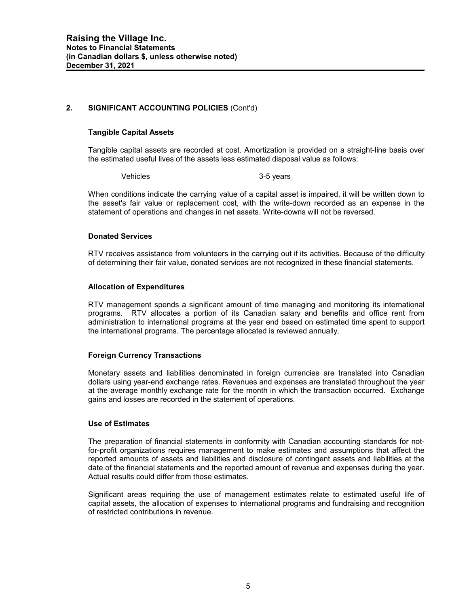# **2. SIGNIFICANT ACCOUNTING POLICIES** (Cont'd)

## **Tangible Capital Assets**

Tangible capital assets are recorded at cost. Amortization is provided on a straight-line basis over the estimated useful lives of the assets less estimated disposal value as follows:

Vehicles 3-5 years

When conditions indicate the carrying value of a capital asset is impaired, it will be written down to the asset's fair value or replacement cost, with the write-down recorded as an expense in the statement of operations and changes in net assets. Write-downs will not be reversed.

## **Donated Services**

RTV receives assistance from volunteers in the carrying out if its activities. Because of the difficulty of determining their fair value, donated services are not recognized in these financial statements.

## **Allocation of Expenditures**

RTV management spends a significant amount of time managing and monitoring its international programs. RTV allocates a portion of its Canadian salary and benefits and office rent from administration to international programs at the year end based on estimated time spent to support the international programs. The percentage allocated is reviewed annually.

#### **Foreign Currency Transactions**

Monetary assets and liabilities denominated in foreign currencies are translated into Canadian dollars using year-end exchange rates. Revenues and expenses are translated throughout the year at the average monthly exchange rate for the month in which the transaction occurred. Exchange gains and losses are recorded in the statement of operations.

#### **Use of Estimates**

The preparation of financial statements in conformity with Canadian accounting standards for notfor-profit organizations requires management to make estimates and assumptions that affect the reported amounts of assets and liabilities and disclosure of contingent assets and liabilities at the date of the financial statements and the reported amount of revenue and expenses during the year. Actual results could differ from those estimates.

Significant areas requiring the use of management estimates relate to estimated useful life of capital assets, the allocation of expenses to international programs and fundraising and recognition of restricted contributions in revenue.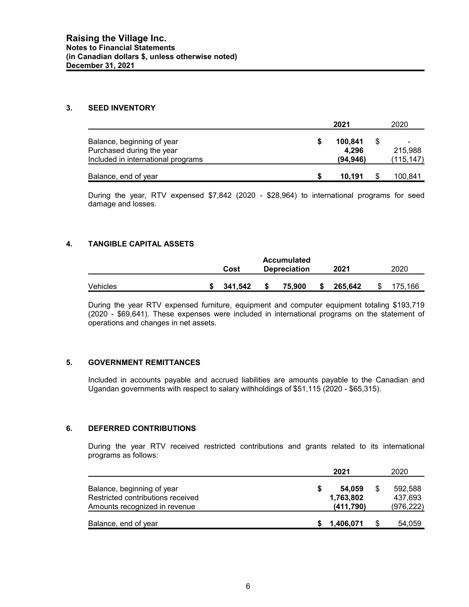## **3. SEED INVENTORY**

|                                                                                               | 2021                         |   | 2020                  |
|-----------------------------------------------------------------------------------------------|------------------------------|---|-----------------------|
| Balance, beginning of year<br>Purchased during the year<br>Included in international programs | 100.841<br>4.296<br>(94.946) |   | 215.988<br>(115, 147) |
| Balance, end of year                                                                          | 10.191                       | S | 100,841               |

During the year, RTV expensed \$7,842 (2020 - \$28,964) to international programs for seed damage and losses.

# **4. TANGIBLE CAPITAL ASSETS**

|          | <b>Accumulated</b> |         |                     |        |  |         |  |         |
|----------|--------------------|---------|---------------------|--------|--|---------|--|---------|
|          |                    | Cost    | <b>Depreciation</b> |        |  | 2021    |  | 2020    |
| Vehicles |                    | 341.542 |                     | 75,900 |  | 265.642 |  | 175,166 |

During the year RTV expensed furniture, equipment and computer equipment totaling \$193,719 (2020 - \$69,641). These expenses were included in international programs on the statement of operations and changes in net assets.

# **5. GOVERNMENT REMITTANCES**

Included in accounts payable and accrued liabilities are amounts payable to the Canadian and Ugandan governments with respect to salary withholdings of \$51,115 (2020 - \$65,315).

# **6. DEFERRED CONTRIBUTIONS**

During the year RTV received restricted contributions and grants related to its international programs as follows:

|                                                                    | 2021                   | 2020                  |
|--------------------------------------------------------------------|------------------------|-----------------------|
| Balance, beginning of year                                         | 54.059                 | \$<br>592.588         |
| Restricted contributions received<br>Amounts recognized in revenue | 1,763,802<br>(411,790) | 437.693<br>(976, 222) |
| Balance, end of year                                               | 1,406,071              | \$<br>54,059          |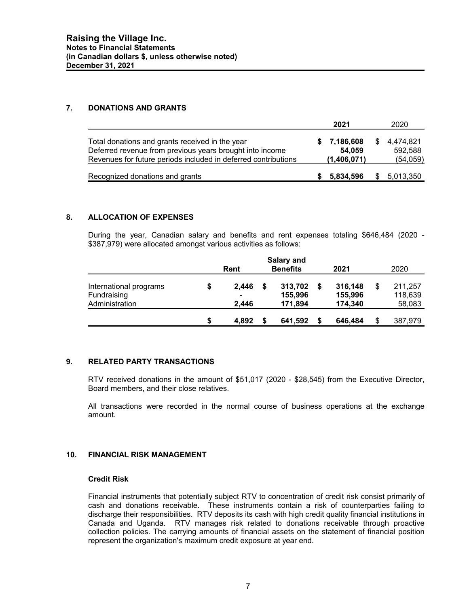## **7. DONATIONS AND GRANTS**

|                                                                                                                                                                               | 2021                               |     | 2020                              |
|-------------------------------------------------------------------------------------------------------------------------------------------------------------------------------|------------------------------------|-----|-----------------------------------|
| Total donations and grants received in the year<br>Deferred revenue from previous years brought into income<br>Revenues for future periods included in deferred contributions | 7,186,608<br>54.059<br>(1,406,071) | \$. | 4.474.821<br>592.588<br>(54, 059) |
| Recognized donations and grants                                                                                                                                               | 5,834,596                          |     | 5,013,350                         |

# **8. ALLOCATION OF EXPENSES**

During the year, Canadian salary and benefits and rent expenses totaling \$646,484 (2020 - \$387,979) were allocated amongst various activities as follows:

|                        |       |         | Salary and      |         |               |
|------------------------|-------|---------|-----------------|---------|---------------|
|                        |       | Rent    | <b>Benefits</b> | 2021    | 2020          |
| International programs | S     | 2.446   | 313,702         | 316,148 | \$<br>211,257 |
| Fundraising            |       | -       | 155,996         | 155,996 | 118,639       |
| Administration         | 2.446 | 171,894 | 174,340         | 58,083  |               |
|                        | S     | 4.892   | 641,592         | 646,484 | \$<br>387,979 |

# **9. RELATED PARTY TRANSACTIONS**

RTV received donations in the amount of \$51,017 (2020 - \$28,545) from the Executive Director, Board members, and their close relatives.

All transactions were recorded in the normal course of business operations at the exchange amount.

# **10. FINANCIAL RISK MANAGEMENT**

## **Credit Risk**

Financial instruments that potentially subject RTV to concentration of credit risk consist primarily of cash and donations receivable. These instruments contain a risk of counterparties failing to discharge their responsibilities. RTV deposits its cash with high credit quality financial institutions in Canada and Uganda. RTV manages risk related to donations receivable through proactive collection policies. The carrying amounts of financial assets on the statement of financial position represent the organization's maximum credit exposure at year end.